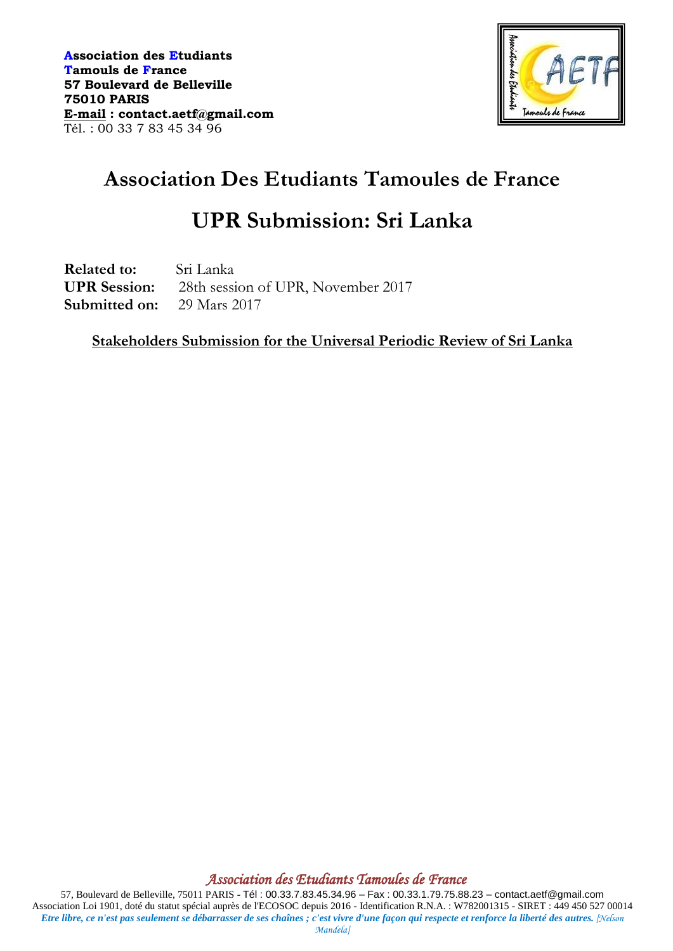

# **Association Des Etudiants Tamoules de France**

## **UPR Submission: Sri Lanka**

**Related to:** Sri Lanka **UPR Session:** 28th session of UPR, November 2017 **Submitted on:** 29 Mars 2017

**Stakeholders Submission for the Universal Periodic Review of Sri Lanka**

*Association des Etudiants Tamoules de France*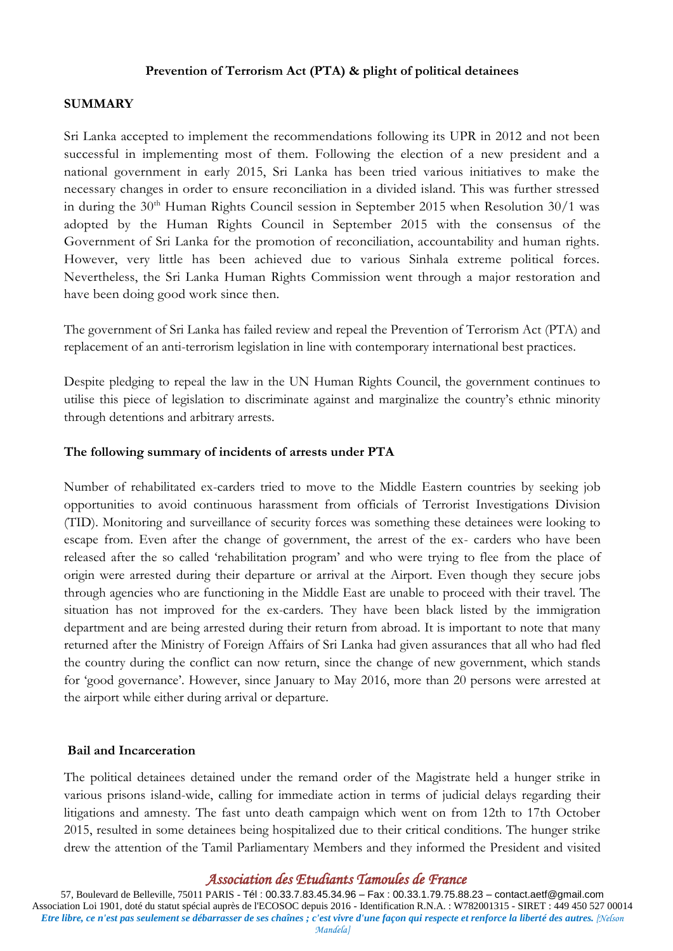#### **Prevention of Terrorism Act (PTA) & plight of political detainees**

#### **SUMMARY**

Sri Lanka accepted to implement the recommendations following its UPR in 2012 and not been successful in implementing most of them. Following the election of a new president and a national government in early 2015, Sri Lanka has been tried various initiatives to make the necessary changes in order to ensure reconciliation in a divided island. This was further stressed in during the  $30<sup>th</sup>$  Human Rights Council session in September 2015 when Resolution  $30/1$  was adopted by the Human Rights Council in September 2015 with the consensus of the Government of Sri Lanka for the promotion of reconciliation, accountability and human rights. However, very little has been achieved due to various Sinhala extreme political forces. Nevertheless, the Sri Lanka Human Rights Commission went through a major restoration and have been doing good work since then.

The government of Sri Lanka has failed review and repeal the Prevention of Terrorism Act (PTA) and replacement of an anti-terrorism legislation in line with contemporary international best practices.

Despite pledging to repeal the law in the UN Human Rights Council, the government continues to utilise this piece of legislation to discriminate against and marginalize the country's ethnic minority through detentions and arbitrary arrests.

#### **The following summary of incidents of arrests under PTA**

Number of rehabilitated ex-carders tried to move to the Middle Eastern countries by seeking job opportunities to avoid continuous harassment from officials of Terrorist Investigations Division (TID). Monitoring and surveillance of security forces was something these detainees were looking to escape from. Even after the change of government, the arrest of the ex- carders who have been released after the so called 'rehabilitation program' and who were trying to flee from the place of origin were arrested during their departure or arrival at the Airport. Even though they secure jobs through agencies who are functioning in the Middle East are unable to proceed with their travel. The situation has not improved for the ex-carders. They have been black listed by the immigration department and are being arrested during their return from abroad. It is important to note that many returned after the Ministry of Foreign Affairs of Sri Lanka had given assurances that all who had fled the country during the conflict can now return, since the change of new government, which stands for 'good governance'. However, since January to May 2016, more than 20 persons were arrested at the airport while either during arrival or departure.

#### **Bail and Incarceration**

The political detainees detained under the remand order of the Magistrate held a hunger strike in various prisons island-wide, calling for immediate action in terms of judicial delays regarding their litigations and amnesty. The fast unto death campaign which went on from 12th to 17th October 2015, resulted in some detainees being hospitalized due to their critical conditions. The hunger strike drew the attention of the Tamil Parliamentary Members and they informed the President and visited

## *Association des Etudiants Tamoules de France*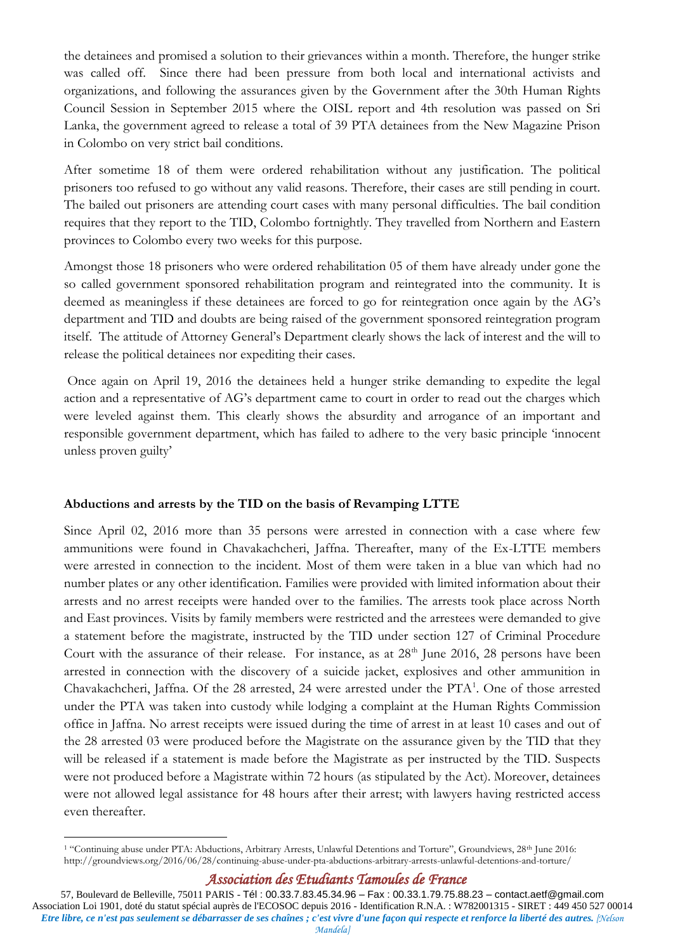the detainees and promised a solution to their grievances within a month. Therefore, the hunger strike was called off. Since there had been pressure from both local and international activists and organizations, and following the assurances given by the Government after the 30th Human Rights Council Session in September 2015 where the OISL report and 4th resolution was passed on Sri Lanka, the government agreed to release a total of 39 PTA detainees from the New Magazine Prison in Colombo on very strict bail conditions.

After sometime 18 of them were ordered rehabilitation without any justification. The political prisoners too refused to go without any valid reasons. Therefore, their cases are still pending in court. The bailed out prisoners are attending court cases with many personal difficulties. The bail condition requires that they report to the TID, Colombo fortnightly. They travelled from Northern and Eastern provinces to Colombo every two weeks for this purpose.

Amongst those 18 prisoners who were ordered rehabilitation 05 of them have already under gone the so called government sponsored rehabilitation program and reintegrated into the community. It is deemed as meaningless if these detainees are forced to go for reintegration once again by the AG's department and TID and doubts are being raised of the government sponsored reintegration program itself. The attitude of Attorney General's Department clearly shows the lack of interest and the will to release the political detainees nor expediting their cases.

Once again on April 19, 2016 the detainees held a hunger strike demanding to expedite the legal action and a representative of AG's department came to court in order to read out the charges which were leveled against them. This clearly shows the absurdity and arrogance of an important and responsible government department, which has failed to adhere to the very basic principle 'innocent unless proven guilty'

## **Abductions and arrests by the TID on the basis of Revamping LTTE**

Since April 02, 2016 more than 35 persons were arrested in connection with a case where few ammunitions were found in Chavakachcheri, Jaffna. Thereafter, many of the Ex-LTTE members were arrested in connection to the incident. Most of them were taken in a blue van which had no number plates or any other identification. Families were provided with limited information about their arrests and no arrest receipts were handed over to the families. The arrests took place across North and East provinces. Visits by family members were restricted and the arrestees were demanded to give a statement before the magistrate, instructed by the TID under section 127 of Criminal Procedure Court with the assurance of their release. For instance, as at  $28<sup>th</sup>$  June 2016, 28 persons have been arrested in connection with the discovery of a suicide jacket, explosives and other ammunition in Chavakachcheri, Jaffna. Of the 28 arrested, 24 were arrested under the PTA<sup>1</sup>. One of those arrested under the PTA was taken into custody while lodging a complaint at the Human Rights Commission office in Jaffna. No arrest receipts were issued during the time of arrest in at least 10 cases and out of the 28 arrested 03 were produced before the Magistrate on the assurance given by the TID that they will be released if a statement is made before the Magistrate as per instructed by the TID. Suspects were not produced before a Magistrate within 72 hours (as stipulated by the Act). Moreover, detainees were not allowed legal assistance for 48 hours after their arrest; with lawyers having restricted access even thereafter.

<sup>1</sup> <sup>1</sup> "Continuing abuse under PTA: Abductions, Arbitrary Arrests, Unlawful Detentions and Torture", Groundviews, 28<sup>th</sup> June 2016: <http://groundviews.org/2016/06/28/continuing-abuse-under-pta-abductions-arbitrary-arrests-unlawful-detentions-and-torture/>

*Association des Etudiants Tamoules de France*

<sup>57,</sup> Boulevard de Belleville, 75011 PARIS - Tél : 00.33.7.83.45.34.96 – Fax : 00.33.1.79.75.88.23 – contact.aetf@gmail.com Association Loi 1901, doté du statut spécial auprès de l'ECOSOC depuis 2016 - Identification R.N.A. : W782001315 - SIRET : 449 450 527 00014 *Etre libre, ce n'est pas seulement se débarrasser de ses chaînes ; c'est vivre d'une façon qui respecte et renforce la liberté des autres. [Nelson Mandela]*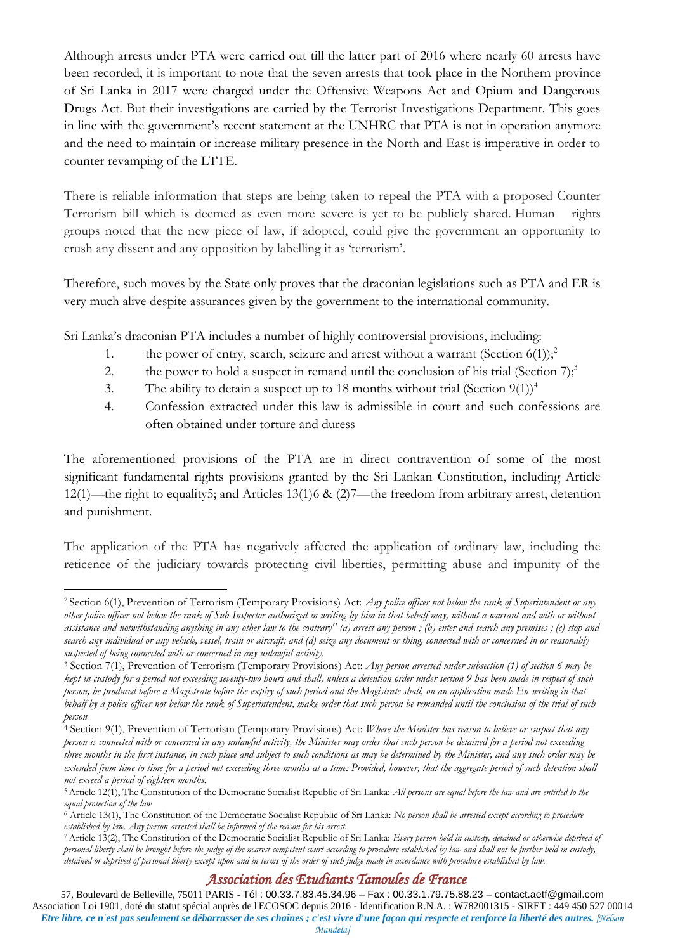Although arrests under PTA were carried out till the latter part of 2016 where nearly 60 arrests have been recorded, it is important to note that the seven arrests that took place in the Northern province of Sri Lanka in 2017 were charged under the Offensive Weapons Act and Opium and Dangerous Drugs Act. But their investigations are carried by the Terrorist Investigations Department. This goes in line with the government's recent statement at the UNHRC that PTA is not in operation anymore and the need to maintain or increase military presence in the North and East is imperative in order to counter revamping of the LTTE.

There is reliable information that steps are being taken to repeal the PTA with a proposed Counter Terrorism bill which is deemed as even more severe is yet to be publicly shared. Human rights groups noted that the new piece of law, if adopted, could give the government an opportunity to crush any dissent and any opposition by labelling it as 'terrorism'.

Therefore, such moves by the State only proves that the draconian legislations such as PTA and ER is very much alive despite assurances given by the government to the international community.

Sri Lanka's draconian PTA includes a number of highly controversial provisions, including:

- 1. the power of entry, search, seizure and arrest without a warrant (Section  $6(1)$ );<sup>2</sup>
- 2. the power to hold a suspect in remand until the conclusion of his trial (Section  $7$ );<sup>3</sup>
- 3. The ability to detain a suspect up to 18 months without trial (Section  $9(1)$ )<sup>4</sup>
- 4. Confession extracted under this law is admissible in court and such confessions are often obtained under torture and duress

The aforementioned provisions of the PTA are in direct contravention of some of the most significant fundamental rights provisions granted by the Sri Lankan Constitution, including Article 12(1)—the right to equality5; and Articles 13(1)6 & (2)7—the freedom from arbitrary arrest, detention and punishment.

The application of the PTA has negatively affected the application of ordinary law, including the reticence of the judiciary towards protecting civil liberties, permitting abuse and impunity of the

## *Association des Etudiants Tamoules de France*

<sup>&</sup>lt;u>.</u> <sup>2</sup> Section 6(1), Prevention of Terrorism (Temporary Provisions) Act: *Any police officer not below the rank of Superintendent or any other police officer not below the rank of Sub-Inspector authorized in writing by him in that behalf may, without a warrant and with or without assistance and notwithstanding anything in any other law to the contrary" (a) arrest any person ; (b) enter and search any premises ; (c) stop and search any individual or any vehicle, vessel, train or aircraft; and (d) seize any document or thing, connected with or concerned in or reasonably suspected of being connected with or concerned in any unlawful activity.*

<sup>3</sup> Section 7(1), Prevention of Terrorism (Temporary Provisions) Act: *Any person arrested under subsection (1) of section 6 may be kept in custody for a period not exceeding seventy-two hours and shall, unless a detention order under section 9 has been made in respect of such person, be produced before a Magistrate before the expiry of such period and the Magistrate shall, on an application made En writing in that behalf by a police officer not below the rank of Superintendent, make order that such person be remanded until the conclusion of the trial of such person*

<sup>4</sup> Section 9(1), Prevention of Terrorism (Temporary Provisions) Act: *Where the Minister has reason to believe or suspect that any person is connected with or concerned in any unlawful activity, the Minister may order that such person be detained for a period not exceeding three months in the first instance, in such place and subject to such conditions as may be determined by the Minister, and any such order may be extended from time to time for a period not exceeding three months at a time: Provided, however, that the aggregate period of such detention shall not exceed a period of eighteen months.*

<sup>5</sup>Article 12(1), The Constitution of the Democratic Socialist Republic of Sri Lanka: *All persons are equal before the law and are entitled to the equal protection of the law*

<sup>6</sup> Article 13(1), The Constitution of the Democratic Socialist Republic of Sri Lanka: *No person shall be arrested except according to procedure established by law. Any person arrested shall be informed of the reason for his arrest.*

<sup>7</sup>Article 13(2), The Constitution of the Democratic Socialist Republic of Sri Lanka: *Every person held in custody, detained or otherwise deprived of personal liberty shall be brought before the judge of the nearest competent court according to procedure established by law and shall not be further held in custody, detained or deprived of personal liberty except upon and in terms of the order of such judge made in accordance with procedure established by law.*

<sup>57,</sup> Boulevard de Belleville, 75011 PARIS - Tél : 00.33.7.83.45.34.96 – Fax : 00.33.1.79.75.88.23 – contact.aetf@gmail.com Association Loi 1901, doté du statut spécial auprès de l'ECOSOC depuis 2016 - Identification R.N.A. : W782001315 - SIRET : 449 450 527 00014 *Etre libre, ce n'est pas seulement se débarrasser de ses chaînes ; c'est vivre d'une façon qui respecte et renforce la liberté des autres. [Nelson Mandela]*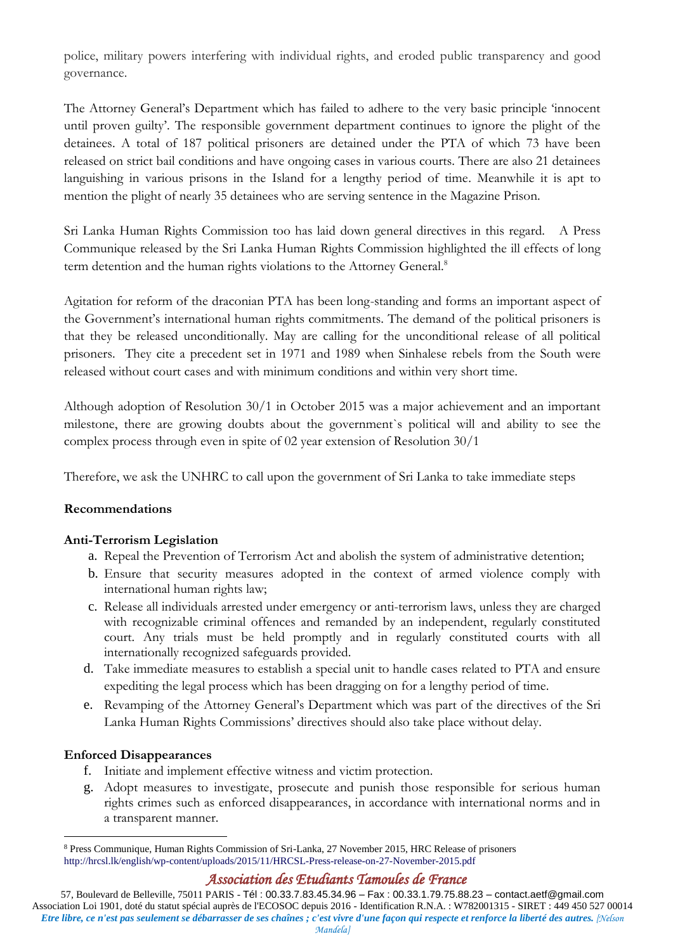police, military powers interfering with individual rights, and eroded public transparency and good governance.

The Attorney General's Department which has failed to adhere to the very basic principle 'innocent until proven guilty'. The responsible government department continues to ignore the plight of the detainees. A total of 187 political prisoners are detained under the PTA of which 73 have been released on strict bail conditions and have ongoing cases in various courts. There are also 21 detainees languishing in various prisons in the Island for a lengthy period of time. Meanwhile it is apt to mention the plight of nearly 35 detainees who are serving sentence in the Magazine Prison.

Sri Lanka Human Rights Commission too has laid down general directives in this regard. A Press Communique released by the Sri Lanka Human Rights Commission highlighted the ill effects of long term detention and the human rights violations to the Attorney General.<sup>8</sup>

Agitation for reform of the draconian PTA has been long-standing and forms an important aspect of the Government's international human rights commitments. The demand of the political prisoners is that they be released unconditionally. May are calling for the unconditional release of all political prisoners. They cite a precedent set in 1971 and 1989 when Sinhalese rebels from the South were released without court cases and with minimum conditions and within very short time.

Although adoption of Resolution 30/1 in October 2015 was a major achievement and an important milestone, there are growing doubts about the government`s political will and ability to see the complex process through even in spite of 02 year extension of Resolution 30/1

Therefore, we ask the UNHRC to call upon the government of Sri Lanka to take immediate steps

## **Recommendations**

## **Anti-Terrorism Legislation**

- a. Repeal the Prevention of Terrorism Act and abolish the system of administrative detention;
- b. Ensure that security measures adopted in the context of armed violence comply with international human rights law;
- c. Release all individuals arrested under emergency or anti-terrorism laws, unless they are charged with recognizable criminal offences and remanded by an independent, regularly constituted court. Any trials must be held promptly and in regularly constituted courts with all internationally recognized safeguards provided.
- d. Take immediate measures to establish a special unit to handle cases related to PTA and ensure expediting the legal process which has been dragging on for a lengthy period of time.
- e. Revamping of the Attorney General's Department which was part of the directives of the Sri Lanka Human Rights Commissions' directives should also take place without delay.

## **Enforced Disappearances**

- f. Initiate and implement effective witness and victim protection.
- g. Adopt measures to investigate, prosecute and punish those responsible for serious human rights crimes such as enforced disappearances, in accordance with international norms and in a transparent manner.

<sup>&</sup>lt;u>.</u> <sup>8</sup> Press Communique, Human Rights Commission of Sri-Lanka, 27 November 2015, HRC Release of prisoners <http://hrcsl.lk/english/wp-content/uploads/2015/11/HRCSL-Press-release-on-27-November-2015.pdf>

*Association des Etudiants Tamoules de France*

<sup>57,</sup> Boulevard de Belleville, 75011 PARIS - Tél : 00.33.7.83.45.34.96 – Fax : 00.33.1.79.75.88.23 – contact.aetf@gmail.com Association Loi 1901, doté du statut spécial auprès de l'ECOSOC depuis 2016 - Identification R.N.A. : W782001315 - SIRET : 449 450 527 00014 *Etre libre, ce n'est pas seulement se débarrasser de ses chaînes ; c'est vivre d'une façon qui respecte et renforce la liberté des autres. [Nelson Mandela]*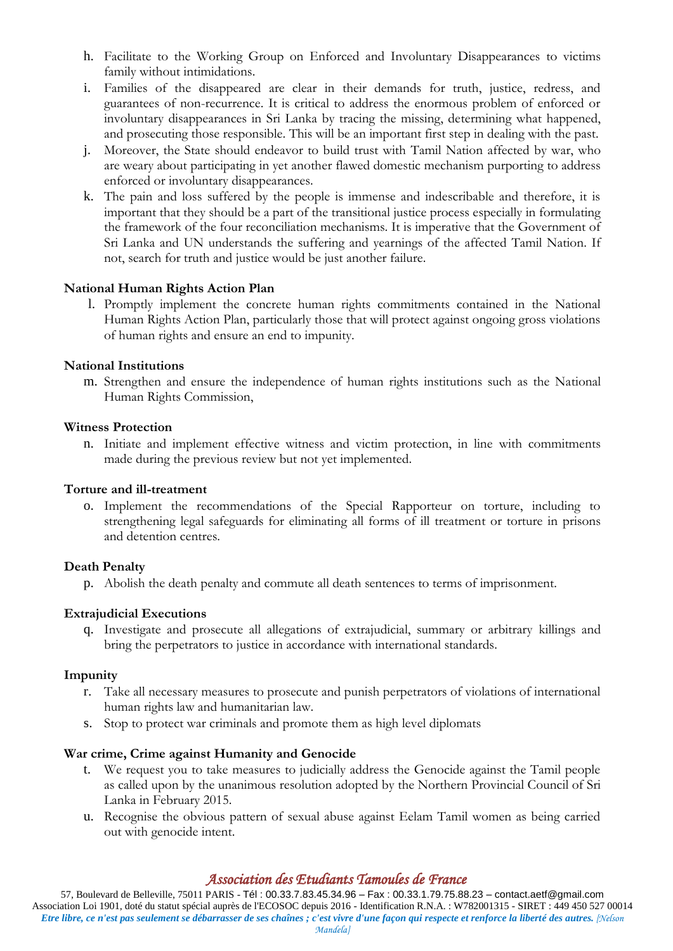- h. Facilitate to the Working Group on Enforced and Involuntary Disappearances to victims family without intimidations.
- i. Families of the disappeared are clear in their demands for truth, justice, redress, and guarantees of non-recurrence. It is critical to address the enormous problem of enforced or involuntary disappearances in Sri Lanka by tracing the missing, determining what happened, and prosecuting those responsible. This will be an important first step in dealing with the past.
- j. Moreover, the State should endeavor to build trust with Tamil Nation affected by war, who are weary about participating in yet another flawed domestic mechanism purporting to address enforced or involuntary disappearances.
- k. The pain and loss suffered by the people is immense and indescribable and therefore, it is important that they should be a part of the transitional justice process especially in formulating the framework of the four reconciliation mechanisms. It is imperative that the Government of Sri Lanka and UN understands the suffering and yearnings of the affected Tamil Nation. If not, search for truth and justice would be just another failure.

## **National Human Rights Action Plan**

l. Promptly implement the concrete human rights commitments contained in the National Human Rights Action Plan, particularly those that will protect against ongoing gross violations of human rights and ensure an end to impunity.

#### **National Institutions**

m. Strengthen and ensure the independence of human rights institutions such as the National Human Rights Commission,

#### **Witness Protection**

n. Initiate and implement effective witness and victim protection, in line with commitments made during the previous review but not yet implemented.

#### **Torture and ill-treatment**

o. Implement the recommendations of the Special Rapporteur on torture, including to strengthening legal safeguards for eliminating all forms of ill treatment or torture in prisons and detention centres.

## **Death Penalty**

p. Abolish the death penalty and commute all death sentences to terms of imprisonment.

## **Extrajudicial Executions**

q. Investigate and prosecute all allegations of extrajudicial, summary or arbitrary killings and bring the perpetrators to justice in accordance with international standards.

#### **Impunity**

- r. Take all necessary measures to prosecute and punish perpetrators of violations of international human rights law and humanitarian law.
- s. Stop to protect war criminals and promote them as high level diplomats

#### **War crime, Crime against Humanity and Genocide**

- t. We request you to take measures to judicially address the Genocide against the Tamil people as called upon by the unanimous resolution adopted by the Northern Provincial Council of Sri Lanka in February 2015.
- u. Recognise the obvious pattern of sexual abuse against Eelam Tamil women as being carried out with genocide intent.

## *Association des Etudiants Tamoules de France*